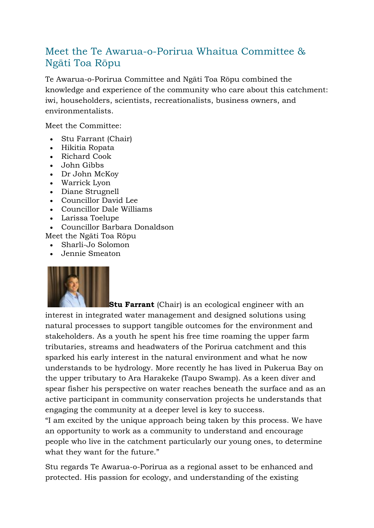## Meet the Te Awarua-o-Porirua Whaitua Committee & Ngāti Toa Rōpu

Te Awarua-o-Porirua Committee and Ngāti Toa Rōpu combined the knowledge and experience of the community who care about this catchment: iwi, householders, scientists, recreationalists, business owners, and environmentalists.

Meet the Committee:

- Stu Farrant (Chair)
- Hikitia Ropata
- Richard Cook
- John Gibbs
- Dr John McKoy
- Warrick Lyon
- Diane Strugnell
- Councillor David Lee
- Councillor Dale Williams
- Larissa Toelupe
- Councillor Barbara Donaldson
- Meet the Ngāti Toa Rōpu
	- Sharli-Jo Solomon
	- Jennie Smeaton



**Stu Farrant** (Chair) is an ecological engineer with an interest in integrated water management and designed solutions using natural processes to support tangible outcomes for the environment and stakeholders. As a youth he spent his free time roaming the upper farm tributaries, streams and headwaters of the Porirua catchment and this sparked his early interest in the natural environment and what he now understands to be hydrology. More recently he has lived in Pukerua Bay on the upper tributary to Ara Harakeke (Taupo Swamp). As a keen diver and spear fisher his perspective on water reaches beneath the surface and as an active participant in community conservation projects he understands that engaging the community at a deeper level is key to success.

"I am excited by the unique approach being taken by this process. We have an opportunity to work as a community to understand and encourage people who live in the catchment particularly our young ones, to determine what they want for the future."

Stu regards Te Awarua-o-Porirua as a regional asset to be enhanced and protected. His passion for ecology, and understanding of the existing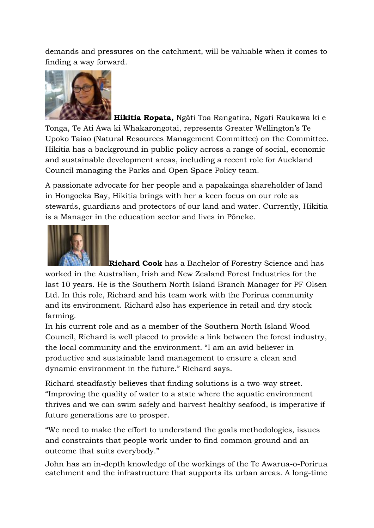demands and pressures on the catchment, will be valuable when it comes to finding a way forward.



**Hikitia Ropata,** Ngāti Toa Rangatira, Ngati Raukawa ki e Tonga, Te Ati Awa ki Whakarongotai, represents Greater Wellington's Te Upoko Taiao (Natural Resources Management Committee) on the Committee. Hikitia has a background in public policy across a range of social, economic and sustainable development areas, including a recent role for Auckland Council managing the Parks and Open Space Policy team.

A passionate advocate for her people and a papakainga shareholder of land in Hongoeka Bay, Hikitia brings with her a keen focus on our role as stewards, guardians and protectors of our land and water. Currently, Hikitia is a Manager in the education sector and lives in Pōneke.



**Richard Cook** has a Bachelor of Forestry Science and has worked in the Australian, Irish and New Zealand Forest Industries for the last 10 years. He is the Southern North Island Branch Manager for PF Olsen Ltd. In this role, Richard and his team work with the Porirua community and its environment. Richard also has experience in retail and dry stock farming.

In his current role and as a member of the Southern North Island Wood Council, Richard is well placed to provide a link between the forest industry, the local community and the environment. "I am an avid believer in productive and sustainable land management to ensure a clean and dynamic environment in the future." Richard says.

Richard steadfastly believes that finding solutions is a two-way street. "Improving the quality of water to a state where the aquatic environment thrives and we can swim safely and harvest healthy seafood, is imperative if future generations are to prosper.

"We need to make the effort to understand the goals methodologies, issues and constraints that people work under to find common ground and an outcome that suits everybody."

John has an in-depth knowledge of the workings of the Te Awarua-o-Porirua catchment and the infrastructure that supports its urban areas. A long-time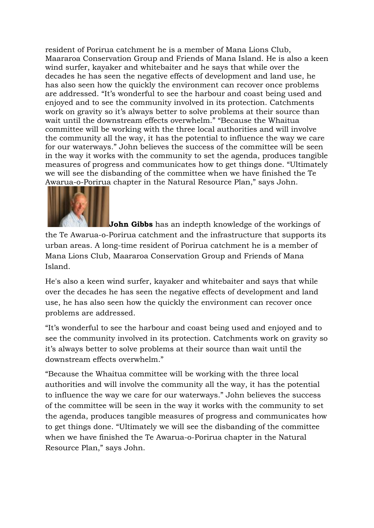resident of Porirua catchment he is a member of Mana Lions Club, Maararoa Conservation Group and Friends of Mana Island. He is also a keen wind surfer, kayaker and whitebaiter and he says that while over the decades he has seen the negative effects of development and land use, he has also seen how the quickly the environment can recover once problems are addressed. "It's wonderful to see the harbour and coast being used and enjoyed and to see the community involved in its protection. Catchments work on gravity so it's always better to solve problems at their source than wait until the downstream effects overwhelm." "Because the Whaitua committee will be working with the three local authorities and will involve the community all the way, it has the potential to influence the way we care for our waterways." John believes the success of the committee will be seen in the way it works with the community to set the agenda, produces tangible measures of progress and communicates how to get things done. "Ultimately we will see the disbanding of the committee when we have finished the Te Awarua-o-Porirua chapter in the Natural Resource Plan," says John.



**John Gibbs** has an indepth knowledge of the workings of the Te Awarua-o-Porirua catchment and the infrastructure that supports its urban areas. A long-time resident of Porirua catchment he is a member of Mana Lions Club, Maararoa Conservation Group and Friends of Mana Island.

He's also a keen wind surfer, kayaker and whitebaiter and says that while over the decades he has seen the negative effects of development and land use, he has also seen how the quickly the environment can recover once problems are addressed.

"It's wonderful to see the harbour and coast being used and enjoyed and to see the community involved in its protection. Catchments work on gravity so it's always better to solve problems at their source than wait until the downstream effects overwhelm."

"Because the Whaitua committee will be working with the three local authorities and will involve the community all the way, it has the potential to influence the way we care for our waterways." John believes the success of the committee will be seen in the way it works with the community to set the agenda, produces tangible measures of progress and communicates how to get things done. "Ultimately we will see the disbanding of the committee when we have finished the Te Awarua-o-Porirua chapter in the Natural Resource Plan," says John.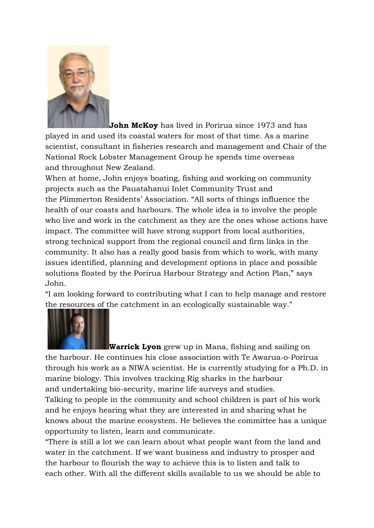

**John McKoy** has lived in Porirua since 1973 and has played in and used its coastal waters for most of that time. As a marine scientist, consultant in fisheries research and management and Chair of the National Rock Lobster Management Group he spends time overseas and throughout New Zealand.

When at home, John enjoys boating, fishing and working on community projects such as the Pauatahanui Inlet Community Trust and the Plimmerton Residents' Association. "All sorts of things influence the health of our coasts and harbours. The whole idea is to involve the people who live and work in the catchment as they are the ones whose actions have impact. The committee will have strong support from local authorities, strong technical support from the regional council and firm links in the community. It also has a really good basis from which to work, with many issues identified, planning and development options in place and possible solutions floated by the Porirua Harbour Strategy and Action Plan," says John.

"I am looking forward to contributing what I can to help manage and restore the resources of the catchment in an ecologically sustainable way."



**Warrick Lyon** grew up in Mana, fishing and sailing on the harbour. He continues his close association with Te Awarua-o-Porirua through his work as a NIWA scientist. He is currently studying for a Ph.D. in marine biology. This involves tracking Rig sharks in the harbour and undertaking bio-security, marine life surveys and studies. Talking to people in the community and school children is part of his work and he enjoys hearing what they are interested in and sharing what he

knows about the marine ecosystem. He believes the committee has a unique opportunity to listen, learn and communicate.

"There is still a lot we can learn about what people want from the land and water in the catchment. If we want business and industry to prosper and the harbour to flourish the way to achieve this is to listen and talk to each other. With all the different skills available to us we should be able to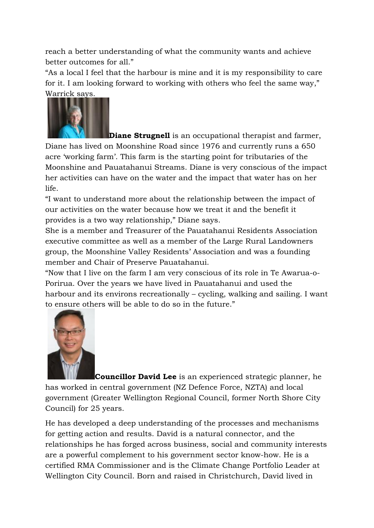reach a better understanding of what the community wants and achieve better outcomes for all."

"As a local I feel that the harbour is mine and it is my responsibility to care for it. I am looking forward to working with others who feel the same way," Warrick says.



**Diane Strugnell** is an occupational therapist and farmer, Diane has lived on Moonshine Road since 1976 and currently runs a 650 acre 'working farm'. This farm is the starting point for tributaries of the Moonshine and Pauatahanui Streams. Diane is very conscious of the impact her activities can have on the water and the impact that water has on her life.

"I want to understand more about the relationship between the impact of our activities on the water because how we treat it and the benefit it provides is a two way relationship," Diane says.

She is a member and Treasurer of the Pauatahanui Residents Association executive committee as well as a member of the Large Rural Landowners group, the Moonshine Valley Residents' Association and was a founding member and Chair of Preserve Pauatahanui.

"Now that I live on the farm I am very conscious of its role in Te Awarua-o-Porirua. Over the years we have lived in Pauatahanui and used the harbour and its environs recreationally – cycling, walking and sailing. I want to ensure others will be able to do so in the future."



**Councillor David Lee** is an experienced strategic planner, he has worked in central government (NZ Defence Force, NZTA) and local government (Greater Wellington Regional Council, former North Shore City Council) for 25 years.

He has developed a deep understanding of the processes and mechanisms for getting action and results. David is a natural connector, and the relationships he has forged across business, social and community interests are a powerful complement to his government sector know-how. He is a certified RMA Commissioner and is the Climate Change Portfolio Leader at Wellington City Council. Born and raised in Christchurch, David lived in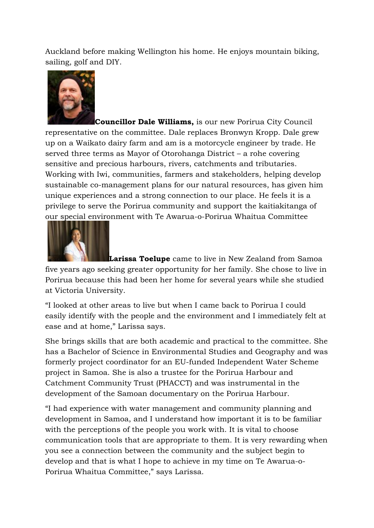Auckland before making Wellington his home. He enjoys mountain biking, sailing, golf and DIY.



**Councillor Dale Williams,** is our new Porirua City Council representative on the committee. Dale replaces Bronwyn Kropp. Dale grew up on a Waikato dairy farm and am is a motorcycle engineer by trade. He served three terms as Mayor of Otorohanga District – a rohe covering sensitive and precious harbours, rivers, catchments and tributaries. Working with Iwi, communities, farmers and stakeholders, helping develop sustainable co-management plans for our natural resources, has given him unique experiences and a strong connection to our place. He feels it is a privilege to serve the Porirua community and support the kaitiakitanga of our special environment with Te Awarua-o-Porirua Whaitua Committee



**Larissa Toelupe** came to live in New Zealand from Samoa five years ago seeking greater opportunity for her family. She chose to live in Porirua because this had been her home for several years while she studied at Victoria University.

"I looked at other areas to live but when I came back to Porirua I could easily identify with the people and the environment and I immediately felt at ease and at home," Larissa says.

She brings skills that are both academic and practical to the committee. She has a Bachelor of Science in Environmental Studies and Geography and was formerly project coordinator for an EU-funded Independent Water Scheme project in Samoa. She is also a trustee for the Porirua Harbour and Catchment Community Trust (PHACCT) and was instrumental in the development of the Samoan documentary on the Porirua Harbour.

"I had experience with water management and community planning and development in Samoa, and I understand how important it is to be familiar with the perceptions of the people you work with. It is vital to choose communication tools that are appropriate to them. It is very rewarding when you see a connection between the community and the subject begin to develop and that is what I hope to achieve in my time on Te Awarua-o-Porirua Whaitua Committee," says Larissa.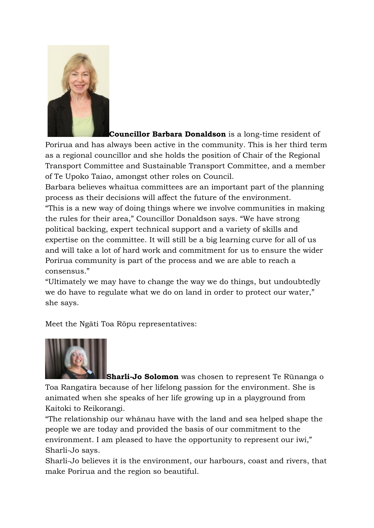

**Councillor Barbara Donaldson** is a long-time resident of Porirua and has always been active in the community. This is her third term as a regional councillor and she holds the position of Chair of the Regional Transport Committee and Sustainable Transport Committee, and a member of Te Upoko Taiao, amongst other roles on Council.

Barbara believes whaitua committees are an important part of the planning process as their decisions will affect the future of the environment. "This is a new way of doing things where we involve communities in making the rules for their area," Councillor Donaldson says. "We have strong political backing, expert technical support and a variety of skills and expertise on the committee. It will still be a big learning curve for all of us and will take a lot of hard work and commitment for us to ensure the wider Porirua community is part of the process and we are able to reach a consensus."

"Ultimately we may have to change the way we do things, but undoubtedly we do have to regulate what we do on land in order to protect our water," she says.

Meet the Ngāti Toa Rōpu representatives:



**Sharli-Jo Solomon** was chosen to represent Te Rūnanga o Toa Rangatira because of her lifelong passion for the environment. She is animated when she speaks of her life growing up in a playground from Kaitoki to Reikorangi.

"The relationship our whānau have with the land and sea helped shape the people we are today and provided the basis of our commitment to the environment. I am pleased to have the opportunity to represent our iwi," Sharli-Jo says.

Sharli-Jo believes it is the environment, our harbours, coast and rivers, that make Porirua and the region so beautiful.